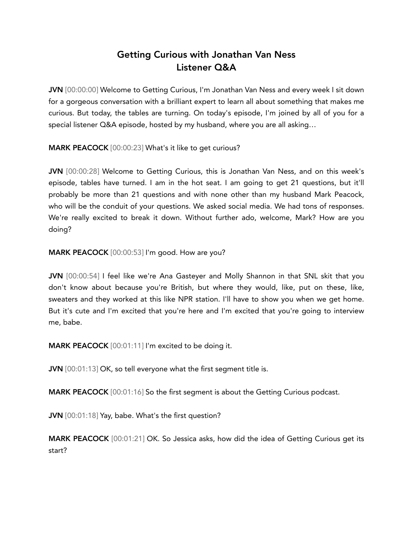## Getting Curious with Jonathan Van Ness Listener Q&A

JVN [00:00:00] Welcome to Getting Curious, I'm Jonathan Van Ness and every week I sit down for a gorgeous conversation with a brilliant expert to learn all about something that makes me curious. But today, the tables are turning. On today's episode, I'm joined by all of you for a special listener Q&A episode, hosted by my husband, where you are all asking…

MARK PEACOCK [00:00:23] What's it like to get curious?

JVN [00:00:28] Welcome to Getting Curious, this is Jonathan Van Ness, and on this week's episode, tables have turned. I am in the hot seat. I am going to get 21 questions, but it'll probably be more than 21 questions and with none other than my husband Mark Peacock, who will be the conduit of your questions. We asked social media. We had tons of responses. We're really excited to break it down. Without further ado, welcome, Mark? How are you doing?

MARK PEACOCK [00:00:53] I'm good. How are you?

JVN [00:00:54] I feel like we're Ana Gasteyer and Molly Shannon in that SNL skit that you don't know about because you're British, but where they would, like, put on these, like, sweaters and they worked at this like NPR station. I'll have to show you when we get home. But it's cute and I'm excited that you're here and I'm excited that you're going to interview me, babe.

MARK PEACOCK [00:01:11] I'm excited to be doing it.

JVN [00:01:13] OK, so tell everyone what the first segment title is.

MARK PEACOCK [00:01:16] So the first segment is about the Getting Curious podcast.

JVN [00:01:18] Yay, babe. What's the first question?

MARK PEACOCK [00:01:21] OK. So Jessica asks, how did the idea of Getting Curious get its start?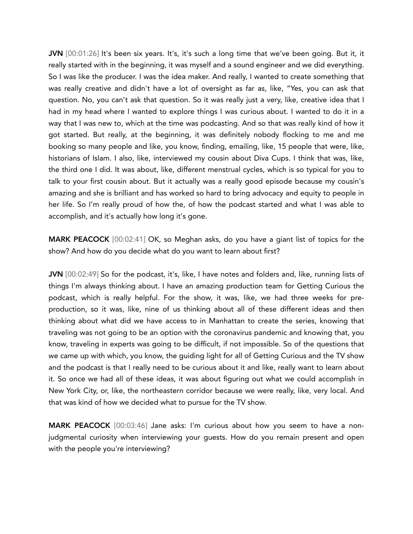JVN [00:01:26] It's been six years. It's, it's such a long time that we've been going. But it, it really started with in the beginning, it was myself and a sound engineer and we did everything. So I was like the producer. I was the idea maker. And really, I wanted to create something that was really creative and didn't have a lot of oversight as far as, like, "Yes, you can ask that question. No, you can't ask that question. So it was really just a very, like, creative idea that I had in my head where I wanted to explore things I was curious about. I wanted to do it in a way that I was new to, which at the time was podcasting. And so that was really kind of how it got started. But really, at the beginning, it was definitely nobody flocking to me and me booking so many people and like, you know, finding, emailing, like, 15 people that were, like, historians of Islam. I also, like, interviewed my cousin about Diva Cups. I think that was, like, the third one I did. It was about, like, different menstrual cycles, which is so typical for you to talk to your first cousin about. But it actually was a really good episode because my cousin's amazing and she is brilliant and has worked so hard to bring advocacy and equity to people in her life. So I'm really proud of how the, of how the podcast started and what I was able to accomplish, and it's actually how long it's gone.

MARK PEACOCK [00:02:41] OK, so Meghan asks, do you have a giant list of topics for the show? And how do you decide what do you want to learn about first?

JVN [00:02:49] So for the podcast, it's, like, I have notes and folders and, like, running lists of things I'm always thinking about. I have an amazing production team for Getting Curious the podcast, which is really helpful. For the show, it was, like, we had three weeks for preproduction, so it was, like, nine of us thinking about all of these different ideas and then thinking about what did we have access to in Manhattan to create the series, knowing that traveling was not going to be an option with the coronavirus pandemic and knowing that, you know, traveling in experts was going to be difficult, if not impossible. So of the questions that we came up with which, you know, the guiding light for all of Getting Curious and the TV show and the podcast is that I really need to be curious about it and like, really want to learn about it. So once we had all of these ideas, it was about figuring out what we could accomplish in New York City, or, like, the northeastern corridor because we were really, like, very local. And that was kind of how we decided what to pursue for the TV show.

MARK PEACOCK [00:03:46] Jane asks: I'm curious about how you seem to have a nonjudgmental curiosity when interviewing your guests. How do you remain present and open with the people you're interviewing?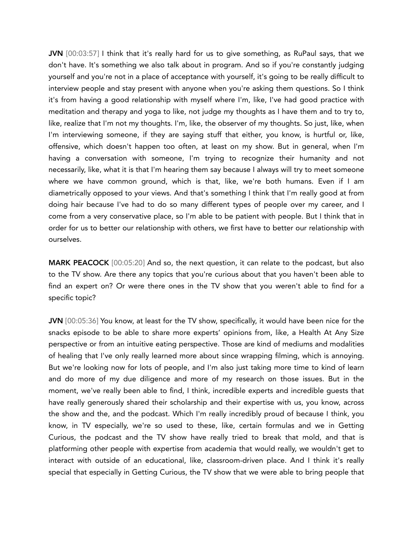JVN [00:03:57] I think that it's really hard for us to give something, as RuPaul says, that we don't have. It's something we also talk about in program. And so if you're constantly judging yourself and you're not in a place of acceptance with yourself, it's going to be really difficult to interview people and stay present with anyone when you're asking them questions. So I think it's from having a good relationship with myself where I'm, like, I've had good practice with meditation and therapy and yoga to like, not judge my thoughts as I have them and to try to, like, realize that I'm not my thoughts. I'm, like, the observer of my thoughts. So just, like, when I'm interviewing someone, if they are saying stuff that either, you know, is hurtful or, like, offensive, which doesn't happen too often, at least on my show. But in general, when I'm having a conversation with someone, I'm trying to recognize their humanity and not necessarily, like, what it is that I'm hearing them say because I always will try to meet someone where we have common ground, which is that, like, we're both humans. Even if I am diametrically opposed to your views. And that's something I think that I'm really good at from doing hair because I've had to do so many different types of people over my career, and I come from a very conservative place, so I'm able to be patient with people. But I think that in order for us to better our relationship with others, we first have to better our relationship with ourselves.

MARK PEACOCK [00:05:20] And so, the next question, it can relate to the podcast, but also to the TV show. Are there any topics that you're curious about that you haven't been able to find an expert on? Or were there ones in the TV show that you weren't able to find for a specific topic?

JVN [00:05:36] You know, at least for the TV show, specifically, it would have been nice for the snacks episode to be able to share more experts' opinions from, like, a Health At Any Size perspective or from an intuitive eating perspective. Those are kind of mediums and modalities of healing that I've only really learned more about since wrapping filming, which is annoying. But we're looking now for lots of people, and I'm also just taking more time to kind of learn and do more of my due diligence and more of my research on those issues. But in the moment, we've really been able to find, I think, incredible experts and incredible guests that have really generously shared their scholarship and their expertise with us, you know, across the show and the, and the podcast. Which I'm really incredibly proud of because I think, you know, in TV especially, we're so used to these, like, certain formulas and we in Getting Curious, the podcast and the TV show have really tried to break that mold, and that is platforming other people with expertise from academia that would really, we wouldn't get to interact with outside of an educational, like, classroom-driven place. And I think it's really special that especially in Getting Curious, the TV show that we were able to bring people that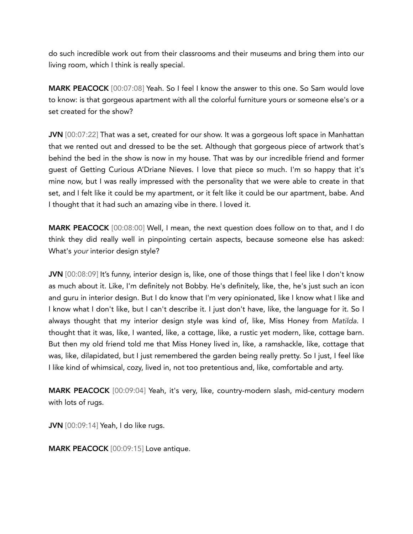do such incredible work out from their classrooms and their museums and bring them into our living room, which I think is really special.

MARK PEACOCK [00:07:08] Yeah. So I feel I know the answer to this one. So Sam would love to know: is that gorgeous apartment with all the colorful furniture yours or someone else's or a set created for the show?

JVN [00:07:22] That was a set, created for our show. It was a gorgeous loft space in Manhattan that we rented out and dressed to be the set. Although that gorgeous piece of artwork that's behind the bed in the show is now in my house. That was by our incredible friend and former guest of Getting Curious A'Driane Nieves. I love that piece so much. I'm so happy that it's mine now, but I was really impressed with the personality that we were able to create in that set, and I felt like it could be my apartment, or it felt like it could be our apartment, babe. And I thought that it had such an amazing vibe in there. I loved it.

MARK PEACOCK [00:08:00] Well, I mean, the next question does follow on to that, and I do think they did really well in pinpointing certain aspects, because someone else has asked: What's *your* interior design style?

JVN [00:08:09] It's funny, interior design is, like, one of those things that I feel like I don't know as much about it. Like, I'm definitely not Bobby. He's definitely, like, the, he's just such an icon and guru in interior design. But I do know that I'm very opinionated, like I know what I like and I know what I don't like, but I can't describe it. I just don't have, like, the language for it. So I always thought that my interior design style was kind of, like, Miss Honey from *Matilda*. I thought that it was, like, I wanted, like, a cottage, like, a rustic yet modern, like, cottage barn. But then my old friend told me that Miss Honey lived in, like, a ramshackle, like, cottage that was, like, dilapidated, but I just remembered the garden being really pretty. So I just, I feel like I like kind of whimsical, cozy, lived in, not too pretentious and, like, comfortable and arty.

MARK PEACOCK [00:09:04] Yeah, it's very, like, country-modern slash, mid-century modern with lots of rugs.

JVN [00:09:14] Yeah, I do like rugs.

MARK PEACOCK [00:09:15] Love antique.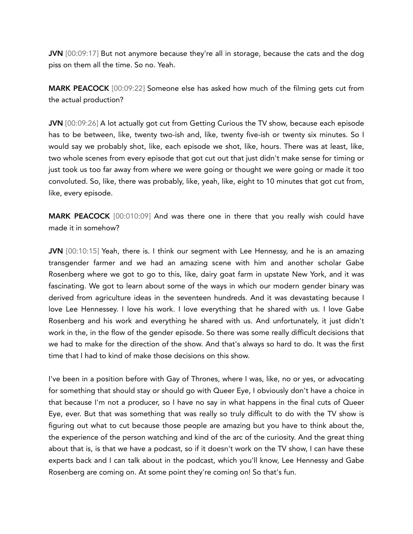JVN [00:09:17] But not anymore because they're all in storage, because the cats and the dog piss on them all the time. So no. Yeah.

MARK PEACOCK [00:09:22] Someone else has asked how much of the filming gets cut from the actual production?

JVN [00:09:26] A lot actually got cut from Getting Curious the TV show, because each episode has to be between, like, twenty two-ish and, like, twenty five-ish or twenty six minutes. So I would say we probably shot, like, each episode we shot, like, hours. There was at least, like, two whole scenes from every episode that got cut out that just didn't make sense for timing or just took us too far away from where we were going or thought we were going or made it too convoluted. So, like, there was probably, like, yeah, like, eight to 10 minutes that got cut from, like, every episode.

MARK PEACOCK [00:010:09] And was there one in there that you really wish could have made it in somehow?

JVN [00:10:15] Yeah, there is. I think our segment with Lee Hennessy, and he is an amazing transgender farmer and we had an amazing scene with him and another scholar Gabe Rosenberg where we got to go to this, like, dairy goat farm in upstate New York, and it was fascinating. We got to learn about some of the ways in which our modern gender binary was derived from agriculture ideas in the seventeen hundreds. And it was devastating because I love Lee Hennessey. I love his work. I love everything that he shared with us. I love Gabe Rosenberg and his work and everything he shared with us. And unfortunately, it just didn't work in the, in the flow of the gender episode. So there was some really difficult decisions that we had to make for the direction of the show. And that's always so hard to do. It was the first time that I had to kind of make those decisions on this show.

I've been in a position before with Gay of Thrones, where I was, like, no or yes, or advocating for something that should stay or should go with Queer Eye, I obviously don't have a choice in that because I'm not a producer, so I have no say in what happens in the final cuts of Queer Eye, ever. But that was something that was really so truly difficult to do with the TV show is figuring out what to cut because those people are amazing but you have to think about the, the experience of the person watching and kind of the arc of the curiosity. And the great thing about that is, is that we have a podcast, so if it doesn't work on the TV show, I can have these experts back and I can talk about in the podcast, which you'll know, Lee Hennessy and Gabe Rosenberg are coming on. At some point they're coming on! So that's fun.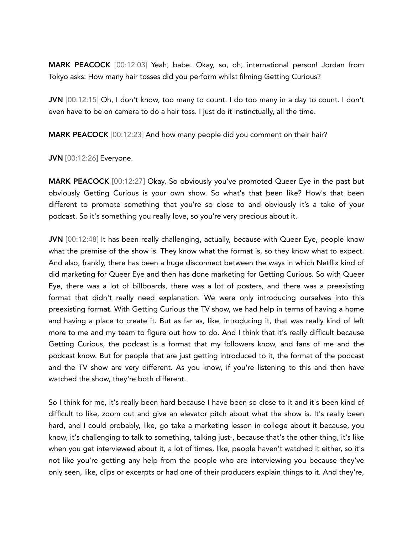MARK PEACOCK [00:12:03] Yeah, babe. Okay, so, oh, international person! Jordan from Tokyo asks: How many hair tosses did you perform whilst filming Getting Curious?

JVN [00:12:15] Oh, I don't know, too many to count. I do too many in a day to count. I don't even have to be on camera to do a hair toss. I just do it instinctually, all the time.

MARK PEACOCK [00:12:23] And how many people did you comment on their hair?

JVN [00:12:26] Everyone.

MARK PEACOCK [00:12:27] Okay. So obviously you've promoted Queer Eye in the past but obviously Getting Curious is your own show. So what's that been like? How's that been different to promote something that you're so close to and obviously it's a take of your podcast. So it's something you really love, so you're very precious about it.

JVN [00:12:48] It has been really challenging, actually, because with Queer Eye, people know what the premise of the show is. They know what the format is, so they know what to expect. And also, frankly, there has been a huge disconnect between the ways in which Netflix kind of did marketing for Queer Eye and then has done marketing for Getting Curious. So with Queer Eye, there was a lot of billboards, there was a lot of posters, and there was a preexisting format that didn't really need explanation. We were only introducing ourselves into this preexisting format. With Getting Curious the TV show, we had help in terms of having a home and having a place to create it. But as far as, like, introducing it, that was really kind of left more to me and my team to figure out how to do. And I think that it's really difficult because Getting Curious, the podcast is a format that my followers know, and fans of me and the podcast know. But for people that are just getting introduced to it, the format of the podcast and the TV show are very different. As you know, if you're listening to this and then have watched the show, they're both different.

So I think for me, it's really been hard because I have been so close to it and it's been kind of difficult to like, zoom out and give an elevator pitch about what the show is. It's really been hard, and I could probably, like, go take a marketing lesson in college about it because, you know, it's challenging to talk to something, talking just-, because that's the other thing, it's like when you get interviewed about it, a lot of times, like, people haven't watched it either, so it's not like you're getting any help from the people who are interviewing you because they've only seen, like, clips or excerpts or had one of their producers explain things to it. And they're,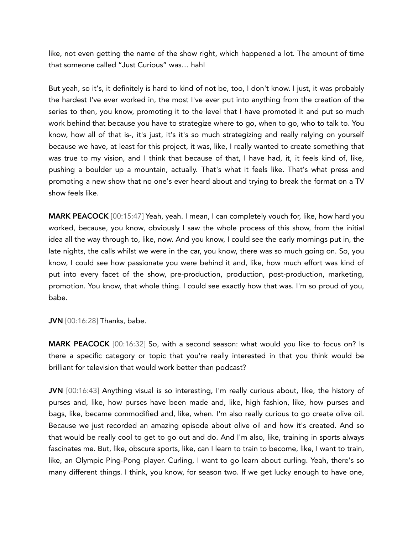like, not even getting the name of the show right, which happened a lot. The amount of time that someone called "Just Curious" was… hah!

But yeah, so it's, it definitely is hard to kind of not be, too, I don't know. I just, it was probably the hardest I've ever worked in, the most I've ever put into anything from the creation of the series to then, you know, promoting it to the level that I have promoted it and put so much work behind that because you have to strategize where to go, when to go, who to talk to. You know, how all of that is-, it's just, it's it's so much strategizing and really relying on yourself because we have, at least for this project, it was, like, I really wanted to create something that was true to my vision, and I think that because of that, I have had, it, it feels kind of, like, pushing a boulder up a mountain, actually. That's what it feels like. That's what press and promoting a new show that no one's ever heard about and trying to break the format on a TV show feels like.

MARK PEACOCK [00:15:47] Yeah, yeah. I mean, I can completely vouch for, like, how hard you worked, because, you know, obviously I saw the whole process of this show, from the initial idea all the way through to, like, now. And you know, I could see the early mornings put in, the late nights, the calls whilst we were in the car, you know, there was so much going on. So, you know, I could see how passionate you were behind it and, like, how much effort was kind of put into every facet of the show, pre-production, production, post-production, marketing, promotion. You know, that whole thing. I could see exactly how that was. I'm so proud of you, babe.

JVN [00:16:28] Thanks, babe.

MARK PEACOCK [00:16:32] So, with a second season: what would you like to focus on? Is there a specific category or topic that you're really interested in that you think would be brilliant for television that would work better than podcast?

JVN [00:16:43] Anything visual is so interesting, I'm really curious about, like, the history of purses and, like, how purses have been made and, like, high fashion, like, how purses and bags, like, became commodified and, like, when. I'm also really curious to go create olive oil. Because we just recorded an amazing episode about olive oil and how it's created. And so that would be really cool to get to go out and do. And I'm also, like, training in sports always fascinates me. But, like, obscure sports, like, can I learn to train to become, like, I want to train, like, an Olympic Ping-Pong player. Curling, I want to go learn about curling. Yeah, there's so many different things. I think, you know, for season two. If we get lucky enough to have one,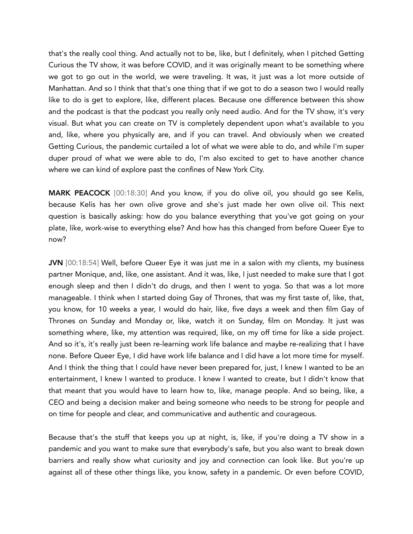that's the really cool thing. And actually not to be, like, but I definitely, when I pitched Getting Curious the TV show, it was before COVID, and it was originally meant to be something where we got to go out in the world, we were traveling. It was, it just was a lot more outside of Manhattan. And so I think that that's one thing that if we got to do a season two I would really like to do is get to explore, like, different places. Because one difference between this show and the podcast is that the podcast you really only need audio. And for the TV show, it's very visual. But what you can create on TV is completely dependent upon what's available to you and, like, where you physically are, and if you can travel. And obviously when we created Getting Curious, the pandemic curtailed a lot of what we were able to do, and while I'm super duper proud of what we were able to do, I'm also excited to get to have another chance where we can kind of explore past the confines of New York City.

MARK PEACOCK [00:18:30] And you know, if you do olive oil, you should go see Kelis, because Kelis has her own olive grove and she's just made her own olive oil. This next question is basically asking: how do you balance everything that you've got going on your plate, like, work-wise to everything else? And how has this changed from before Queer Eye to now?

JVN [00:18:54] Well, before Queer Eye it was just me in a salon with my clients, my business partner Monique, and, like, one assistant. And it was, like, I just needed to make sure that I got enough sleep and then I didn't do drugs, and then I went to yoga. So that was a lot more manageable. I think when I started doing Gay of Thrones, that was my first taste of, like, that, you know, for 10 weeks a year, I would do hair, like, five days a week and then film Gay of Thrones on Sunday and Monday or, like, watch it on Sunday, film on Monday. It just was something where, like, my attention was required, like, on my off time for like a side project. And so it's, it's really just been re-learning work life balance and maybe re-realizing that I have none. Before Queer Eye, I did have work life balance and I did have a lot more time for myself. And I think the thing that I could have never been prepared for, just, I knew I wanted to be an entertainment, I knew I wanted to produce. I knew I wanted to create, but I didn't know that that meant that you would have to learn how to, like, manage people. And so being, like, a CEO and being a decision maker and being someone who needs to be strong for people and on time for people and clear, and communicative and authentic and courageous.

Because that's the stuff that keeps you up at night, is, like, if you're doing a TV show in a pandemic and you want to make sure that everybody's safe, but you also want to break down barriers and really show what curiosity and joy and connection can look like. But you're up against all of these other things like, you know, safety in a pandemic. Or even before COVID,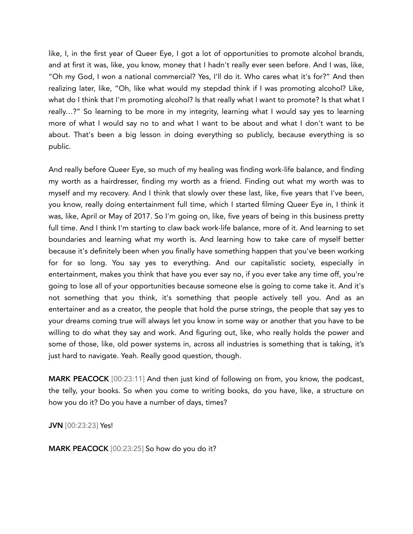like, I, in the first year of Queer Eye, I got a lot of opportunities to promote alcohol brands, and at first it was, like, you know, money that I hadn't really ever seen before. And I was, like, "Oh my God, I won a national commercial? Yes, I'll do it. Who cares what it's for?" And then realizing later, like, "Oh, like what would my stepdad think if I was promoting alcohol? Like, what do I think that I'm promoting alcohol? Is that really what I want to promote? Is that what I really…?" So learning to be more in my integrity, learning what I would say yes to learning more of what I would say no to and what I want to be about and what I don't want to be about. That's been a big lesson in doing everything so publicly, because everything is so public.

And really before Queer Eye, so much of my healing was finding work-life balance, and finding my worth as a hairdresser, finding my worth as a friend. Finding out what my worth was to myself and my recovery. And I think that slowly over these last, like, five years that I've been, you know, really doing entertainment full time, which I started filming Queer Eye in, I think it was, like, April or May of 2017. So I'm going on, like, five years of being in this business pretty full time. And I think I'm starting to claw back work-life balance, more of it. And learning to set boundaries and learning what my worth is. And learning how to take care of myself better because it's definitely been when you finally have something happen that you've been working for for so long. You say yes to everything. And our capitalistic society, especially in entertainment, makes you think that have you ever say no, if you ever take any time off, you're going to lose all of your opportunities because someone else is going to come take it. And it's not something that you think, it's something that people actively tell you. And as an entertainer and as a creator, the people that hold the purse strings, the people that say yes to your dreams coming true will always let you know in some way or another that you have to be willing to do what they say and work. And figuring out, like, who really holds the power and some of those, like, old power systems in, across all industries is something that is taking, it's just hard to navigate. Yeah. Really good question, though.

MARK PEACOCK [00:23:11] And then just kind of following on from, you know, the podcast, the telly, your books. So when you come to writing books, do you have, like, a structure on how you do it? Do you have a number of days, times?

JVN [00:23:23] Yes!

MARK PEACOCK [00:23:25] So how do you do it?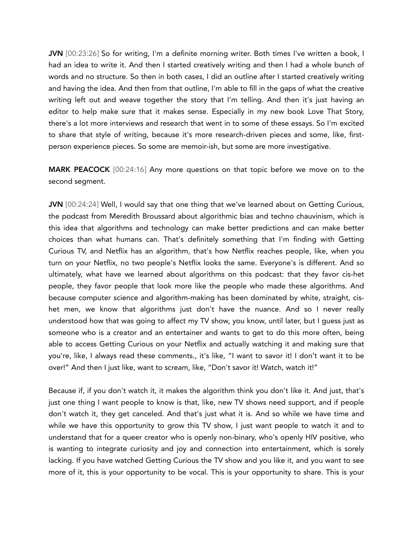JVN [00:23:26] So for writing, I'm a definite morning writer. Both times I've written a book, I had an idea to write it. And then I started creatively writing and then I had a whole bunch of words and no structure. So then in both cases, I did an outline after I started creatively writing and having the idea. And then from that outline, I'm able to fill in the gaps of what the creative writing left out and weave together the story that I'm telling. And then it's just having an editor to help make sure that it makes sense. Especially in my new book Love That Story, there's a lot more interviews and research that went in to some of these essays. So I'm excited to share that style of writing, because it's more research-driven pieces and some, like, firstperson experience pieces. So some are memoir-ish, but some are more investigative.

MARK PEACOCK [00:24:16] Any more questions on that topic before we move on to the second segment.

JVN [00:24:24] Well, I would say that one thing that we've learned about on Getting Curious, the podcast from Meredith Broussard about algorithmic bias and techno chauvinism, which is this idea that algorithms and technology can make better predictions and can make better choices than what humans can. That's definitely something that I'm finding with Getting Curious TV, and Netflix has an algorithm, that's how Netflix reaches people, like, when you turn on your Netflix, no two people's Netflix looks the same. Everyone's is different. And so ultimately, what have we learned about algorithms on this podcast: that they favor cis-het people, they favor people that look more like the people who made these algorithms. And because computer science and algorithm-making has been dominated by white, straight, cishet men, we know that algorithms just don't have the nuance. And so I never really understood how that was going to affect my TV show, you know, until later, but I guess just as someone who is a creator and an entertainer and wants to get to do this more often, being able to access Getting Curious on your Netflix and actually watching it and making sure that you're, like, I always read these comments., it's like, "I want to savor it! I don't want it to be over!" And then I just like, want to scream, like, "Don't savor it! Watch, watch it!"

Because if, if you don't watch it, it makes the algorithm think you don't like it. And just, that's just one thing I want people to know is that, like, new TV shows need support, and if people don't watch it, they get canceled. And that's just what it is. And so while we have time and while we have this opportunity to grow this TV show, I just want people to watch it and to understand that for a queer creator who is openly non-binary, who's openly HIV positive, who is wanting to integrate curiosity and joy and connection into entertainment, which is sorely lacking. If you have watched Getting Curious the TV show and you like it, and you want to see more of it, this is your opportunity to be vocal. This is your opportunity to share. This is your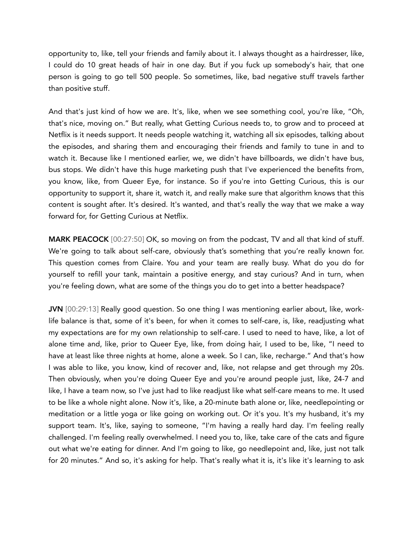opportunity to, like, tell your friends and family about it. I always thought as a hairdresser, like, I could do 10 great heads of hair in one day. But if you fuck up somebody's hair, that one person is going to go tell 500 people. So sometimes, like, bad negative stuff travels farther than positive stuff.

And that's just kind of how we are. It's, like, when we see something cool, you're like, "Oh, that's nice, moving on." But really, what Getting Curious needs to, to grow and to proceed at Netflix is it needs support. It needs people watching it, watching all six episodes, talking about the episodes, and sharing them and encouraging their friends and family to tune in and to watch it. Because like I mentioned earlier, we, we didn't have billboards, we didn't have bus, bus stops. We didn't have this huge marketing push that I've experienced the benefits from, you know, like, from Queer Eye, for instance. So if you're into Getting Curious, this is our opportunity to support it, share it, watch it, and really make sure that algorithm knows that this content is sought after. It's desired. It's wanted, and that's really the way that we make a way forward for, for Getting Curious at Netflix.

MARK PEACOCK [00:27:50] OK, so moving on from the podcast, TV and all that kind of stuff. We're going to talk about self-care, obviously that's something that you're really known for. This question comes from Claire. You and your team are really busy. What do you do for yourself to refill your tank, maintain a positive energy, and stay curious? And in turn, when you're feeling down, what are some of the things you do to get into a better headspace?

JVN [00:29:13] Really good question. So one thing I was mentioning earlier about, like, worklife balance is that, some of it's been, for when it comes to self-care, is, like, readjusting what my expectations are for my own relationship to self-care. I used to need to have, like, a lot of alone time and, like, prior to Queer Eye, like, from doing hair, I used to be, like, "I need to have at least like three nights at home, alone a week. So I can, like, recharge." And that's how I was able to like, you know, kind of recover and, like, not relapse and get through my 20s. Then obviously, when you're doing Queer Eye and you're around people just, like, 24-7 and like, I have a team now, so I've just had to like readjust like what self-care means to me. It used to be like a whole night alone. Now it's, like, a 20-minute bath alone or, like, needlepointing or meditation or a little yoga or like going on working out. Or it's you. It's my husband, it's my support team. It's, like, saying to someone, "I'm having a really hard day. I'm feeling really challenged. I'm feeling really overwhelmed. I need you to, like, take care of the cats and figure out what we're eating for dinner. And I'm going to like, go needlepoint and, like, just not talk for 20 minutes." And so, it's asking for help. That's really what it is, it's like it's learning to ask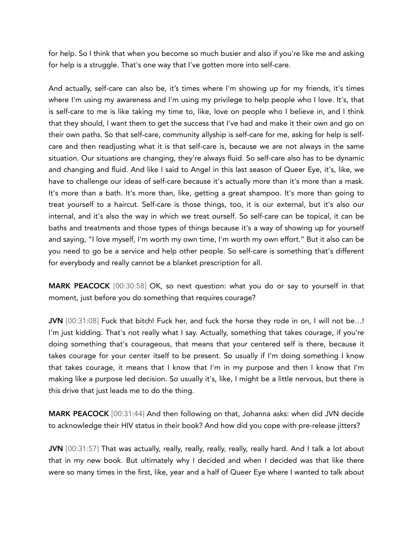for help. So I think that when you become so much busier and also if you're like me and asking for help is a struggle. That's one way that I've gotten more into self-care.

And actually, self-care can also be, it's times where I'm showing up for my friends, it's times where I'm using my awareness and I'm using my privilege to help people who I love. It's, that is self-care to me is like taking my time to, like, love on people who I believe in, and I think that they should, I want them to get the success that I've had and make it their own and go on their own paths. So that self-care, community allyship is self-care for me, asking for help is selfcare and then readjusting what it is that self-care is, because we are not always in the same situation. Our situations are changing, they're always fluid. So self-care also has to be dynamic and changing and fluid. And like I said to Angel in this last season of Queer Eye, it's, like, we have to challenge our ideas of self-care because it's actually more than it's more than a mask. It's more than a bath. It's more than, like, getting a great shampoo. It's more than going to treat yourself to a haircut. Self-care is those things, too, it is our external, but it's also our internal, and it's also the way in which we treat ourself. So self-care can be topical, it can be baths and treatments and those types of things because it's a way of showing up for yourself and saying, "I love myself, I'm worth my own time, I'm worth my own effort." But it also can be you need to go be a service and help other people. So self-care is something that's different for everybody and really cannot be a blanket prescription for all.

MARK PEACOCK [00:30:58] OK, so next question: what you do or say to yourself in that moment, just before you do something that requires courage?

JVN [00:31:08] Fuck that bitch! Fuck her, and fuck the horse they rode in on, I will not be...! I'm just kidding. That's not really what I say. Actually, something that takes courage, if you're doing something that's courageous, that means that your centered self is there, because it takes courage for your center itself to be present. So usually if I'm doing something I know that takes courage, it means that I know that I'm in my purpose and then I know that I'm making like a purpose led decision. So usually it's, like, I might be a little nervous, but there is this drive that just leads me to do the thing.

MARK PEACOCK [00:31:44] And then following on that, Johanna asks: when did JVN decide to acknowledge their HIV status in their book? And how did you cope with pre-release jitters?

JVN [00:31:57] That was actually, really, really, really, really, really hard. And I talk a lot about that in my new book. But ultimately why I decided and when I decided was that like there were so many times in the first, like, year and a half of Queer Eye where I wanted to talk about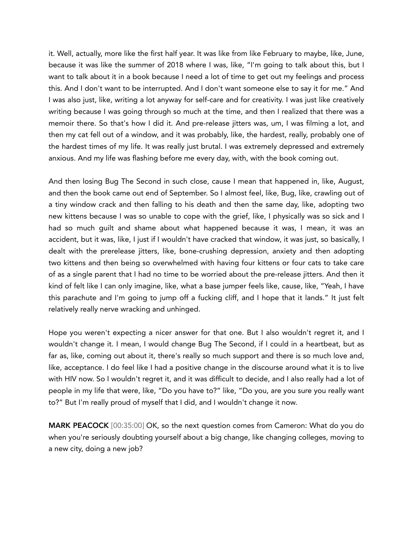it. Well, actually, more like the first half year. It was like from like February to maybe, like, June, because it was like the summer of 2018 where I was, like, "I'm going to talk about this, but I want to talk about it in a book because I need a lot of time to get out my feelings and process this. And I don't want to be interrupted. And I don't want someone else to say it for me." And I was also just, like, writing a lot anyway for self-care and for creativity. I was just like creatively writing because I was going through so much at the time, and then I realized that there was a memoir there. So that's how I did it. And pre-release jitters was, um, I was filming a lot, and then my cat fell out of a window, and it was probably, like, the hardest, really, probably one of the hardest times of my life. It was really just brutal. I was extremely depressed and extremely anxious. And my life was flashing before me every day, with, with the book coming out.

And then losing Bug The Second in such close, cause I mean that happened in, like, August, and then the book came out end of September. So I almost feel, like, Bug, like, crawling out of a tiny window crack and then falling to his death and then the same day, like, adopting two new kittens because I was so unable to cope with the grief, like, I physically was so sick and I had so much guilt and shame about what happened because it was, I mean, it was an accident, but it was, like, I just if I wouldn't have cracked that window, it was just, so basically, I dealt with the prerelease jitters, like, bone-crushing depression, anxiety and then adopting two kittens and then being so overwhelmed with having four kittens or four cats to take care of as a single parent that I had no time to be worried about the pre-release jitters. And then it kind of felt like I can only imagine, like, what a base jumper feels like, cause, like, "Yeah, I have this parachute and I'm going to jump off a fucking cliff, and I hope that it lands." It just felt relatively really nerve wracking and unhinged.

Hope you weren't expecting a nicer answer for that one. But I also wouldn't regret it, and I wouldn't change it. I mean, I would change Bug The Second, if I could in a heartbeat, but as far as, like, coming out about it, there's really so much support and there is so much love and, like, acceptance. I do feel like I had a positive change in the discourse around what it is to live with HIV now. So I wouldn't regret it, and it was difficult to decide, and I also really had a lot of people in my life that were, like, "Do you have to?" like, "Do you, are you sure you really want to?" But I'm really proud of myself that I did, and I wouldn't change it now.

MARK PEACOCK [00:35:00] OK, so the next question comes from Cameron: What do you do when you're seriously doubting yourself about a big change, like changing colleges, moving to a new city, doing a new job?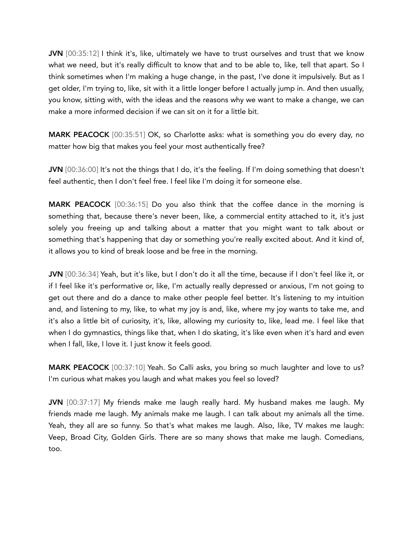JVN [00:35:12] I think it's, like, ultimately we have to trust ourselves and trust that we know what we need, but it's really difficult to know that and to be able to, like, tell that apart. So I think sometimes when I'm making a huge change, in the past, I've done it impulsively. But as I get older, I'm trying to, like, sit with it a little longer before I actually jump in. And then usually, you know, sitting with, with the ideas and the reasons why we want to make a change, we can make a more informed decision if we can sit on it for a little bit.

MARK PEACOCK [00:35:51] OK, so Charlotte asks: what is something you do every day, no matter how big that makes you feel your most authentically free?

JVN [00:36:00] It's not the things that I do, it's the feeling. If I'm doing something that doesn't feel authentic, then I don't feel free. I feel like I'm doing it for someone else.

MARK PEACOCK [00:36:15] Do you also think that the coffee dance in the morning is something that, because there's never been, like, a commercial entity attached to it, it's just solely you freeing up and talking about a matter that you might want to talk about or something that's happening that day or something you're really excited about. And it kind of, it allows you to kind of break loose and be free in the morning.

JVN [00:36:34] Yeah, but it's like, but I don't do it all the time, because if I don't feel like it, or if I feel like it's performative or, like, I'm actually really depressed or anxious, I'm not going to get out there and do a dance to make other people feel better. It's listening to my intuition and, and listening to my, like, to what my joy is and, like, where my joy wants to take me, and it's also a little bit of curiosity, it's, like, allowing my curiosity to, like, lead me. I feel like that when I do gymnastics, things like that, when I do skating, it's like even when it's hard and even when I fall, like, I love it. I just know it feels good.

MARK PEACOCK [00:37:10] Yeah. So Calli asks, you bring so much laughter and love to us? I'm curious what makes you laugh and what makes you feel so loved?

JVN [00:37:17] My friends make me laugh really hard. My husband makes me laugh. My friends made me laugh. My animals make me laugh. I can talk about my animals all the time. Yeah, they all are so funny. So that's what makes me laugh. Also, like, TV makes me laugh: Veep, Broad City, Golden Girls. There are so many shows that make me laugh. Comedians, too.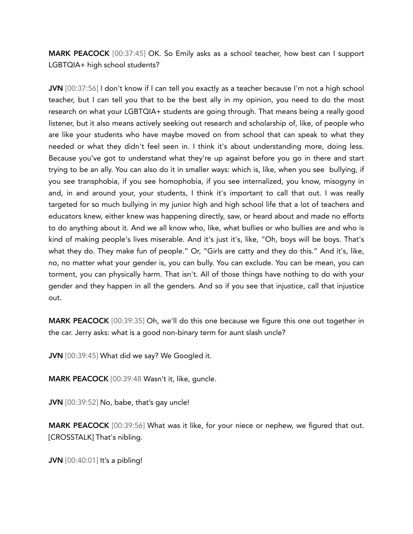MARK PEACOCK [00:37:45] OK. So Emily asks as a school teacher, how best can I support LGBTQIA+ high school students?

JVN [00:37:56] I don't know if I can tell you exactly as a teacher because I'm not a high school teacher, but I can tell you that to be the best ally in my opinion, you need to do the most research on what your LGBTQIA+ students are going through. That means being a really good listener, but it also means actively seeking out research and scholarship of, like, of people who are like your students who have maybe moved on from school that can speak to what they needed or what they didn't feel seen in. I think it's about understanding more, doing less. Because you've got to understand what they're up against before you go in there and start trying to be an ally. You can also do it in smaller ways: which is, like, when you see bullying, if you see transphobia, if you see homophobia, if you see internalized, you know, misogyny in and, in and around your, your students, I think it's important to call that out. I was really targeted for so much bullying in my junior high and high school life that a lot of teachers and educators knew, either knew was happening directly, saw, or heard about and made no efforts to do anything about it. And we all know who, like, what bullies or who bullies are and who is kind of making people's lives miserable. And it's just it's, like, "Oh, boys will be boys. That's what they do. They make fun of people." Or, "Girls are catty and they do this." And it's, like, no, no matter what your gender is, you can bully. You can exclude. You can be mean, you can torment, you can physically harm. That isn't. All of those things have nothing to do with your gender and they happen in all the genders. And so if you see that injustice, call that injustice out.

MARK PEACOCK [00:39:35] Oh, we'll do this one because we figure this one out together in the car. Jerry asks: what is a good non-binary term for aunt slash uncle?

JVN [00:39:45] What did we say? We Googled it.

MARK PEACOCK [00:39:48 Wasn't it, like, guncle.

JVN [00:39:52] No, babe, that's gay uncle!

**MARK PEACOCK** [00:39:56] What was it like, for your niece or nephew, we figured that out. [CROSSTALK] That's nibling.

**JVN** [00:40:01] It's a pibling!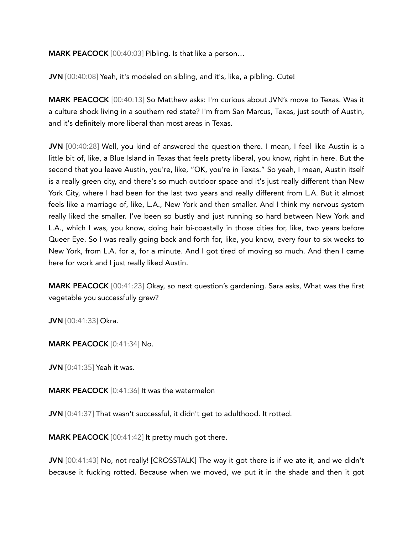MARK PEACOCK [00:40:03] Pibling. Is that like a person…

JVN [00:40:08] Yeah, it's modeled on sibling, and it's, like, a pibling. Cute!

MARK PEACOCK [00:40:13] So Matthew asks: I'm curious about JVN's move to Texas. Was it a culture shock living in a southern red state? I'm from San Marcus, Texas, just south of Austin, and it's definitely more liberal than most areas in Texas.

JVN [00:40:28] Well, you kind of answered the question there. I mean, I feel like Austin is a little bit of, like, a Blue Island in Texas that feels pretty liberal, you know, right in here. But the second that you leave Austin, you're, like, "OK, you're in Texas." So yeah, I mean, Austin itself is a really green city, and there's so much outdoor space and it's just really different than New York City, where I had been for the last two years and really different from L.A. But it almost feels like a marriage of, like, L.A., New York and then smaller. And I think my nervous system really liked the smaller. I've been so bustly and just running so hard between New York and L.A., which I was, you know, doing hair bi-coastally in those cities for, like, two years before Queer Eye. So I was really going back and forth for, like, you know, every four to six weeks to New York, from L.A. for a, for a minute. And I got tired of moving so much. And then I came here for work and I just really liked Austin.

MARK PEACOCK [00:41:23] Okay, so next question's gardening. Sara asks, What was the first vegetable you successfully grew?

JVN [00:41:33] Okra.

MARK PEACOCK [0:41:34] No.

**JVN** [0:41:35] Yeah it was.

MARK PEACOCK [0:41:36] It was the watermelon

JVN [0:41:37] That wasn't successful, it didn't get to adulthood. It rotted.

MARK PEACOCK [00:41:42] It pretty much got there.

JVN [00:41:43] No, not really! [CROSSTALK] The way it got there is if we ate it, and we didn't because it fucking rotted. Because when we moved, we put it in the shade and then it got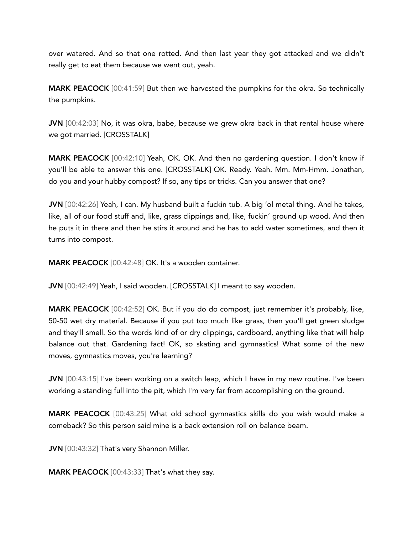over watered. And so that one rotted. And then last year they got attacked and we didn't really get to eat them because we went out, yeah.

MARK PEACOCK [00:41:59] But then we harvested the pumpkins for the okra. So technically the pumpkins.

JVN [00:42:03] No, it was okra, babe, because we grew okra back in that rental house where we got married. [CROSSTALK]

MARK PEACOCK [00:42:10] Yeah, OK. OK. And then no gardening question. I don't know if you'll be able to answer this one. [CROSSTALK] OK. Ready. Yeah. Mm. Mm-Hmm. Jonathan, do you and your hubby compost? If so, any tips or tricks. Can you answer that one?

JVN [00:42:26] Yeah, I can. My husband built a fuckin tub. A big 'ol metal thing. And he takes, like, all of our food stuff and, like, grass clippings and, like, fuckin' ground up wood. And then he puts it in there and then he stirs it around and he has to add water sometimes, and then it turns into compost.

MARK PEACOCK [00:42:48] OK. It's a wooden container.

JVN [00:42:49] Yeah, I said wooden. [CROSSTALK] I meant to say wooden.

MARK PEACOCK [00:42:52] OK. But if you do do compost, just remember it's probably, like, 50-50 wet dry material. Because if you put too much like grass, then you'll get green sludge and they'll smell. So the words kind of or dry clippings, cardboard, anything like that will help balance out that. Gardening fact! OK, so skating and gymnastics! What some of the new moves, gymnastics moves, you're learning?

JVN [00:43:15] I've been working on a switch leap, which I have in my new routine. I've been working a standing full into the pit, which I'm very far from accomplishing on the ground.

MARK PEACOCK [00:43:25] What old school gymnastics skills do you wish would make a comeback? So this person said mine is a back extension roll on balance beam.

JVN [00:43:32] That's very Shannon Miller.

MARK PEACOCK [00:43:33] That's what they say.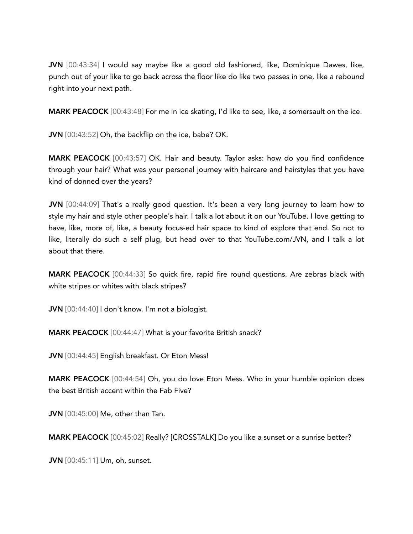JVN [00:43:34] I would say maybe like a good old fashioned, like, Dominique Dawes, like, punch out of your like to go back across the floor like do like two passes in one, like a rebound right into your next path.

MARK PEACOCK [00:43:48] For me in ice skating, I'd like to see, like, a somersault on the ice.

JVN [00:43:52] Oh, the backflip on the ice, babe? OK.

MARK PEACOCK [00:43:57] OK. Hair and beauty. Taylor asks: how do you find confidence through your hair? What was your personal journey with haircare and hairstyles that you have kind of donned over the years?

JVN [00:44:09] That's a really good question. It's been a very long journey to learn how to style my hair and style other people's hair. I talk a lot about it on our YouTube. I love getting to have, like, more of, like, a beauty focus-ed hair space to kind of explore that end. So not to like, literally do such a self plug, but head over to that YouTube.com/JVN, and I talk a lot about that there.

MARK PEACOCK [00:44:33] So quick fire, rapid fire round questions. Are zebras black with white stripes or whites with black stripes?

JVN [00:44:40] I don't know. I'm not a biologist.

MARK PEACOCK [00:44:47] What is your favorite British snack?

JVN [00:44:45] English breakfast. Or Eton Mess!

MARK PEACOCK [00:44:54] Oh, you do love Eton Mess. Who in your humble opinion does the best British accent within the Fab Five?

JVN [00:45:00] Me, other than Tan.

MARK PEACOCK [00:45:02] Really? [CROSSTALK] Do you like a sunset or a sunrise better?

JVN [00:45:11] Um, oh, sunset.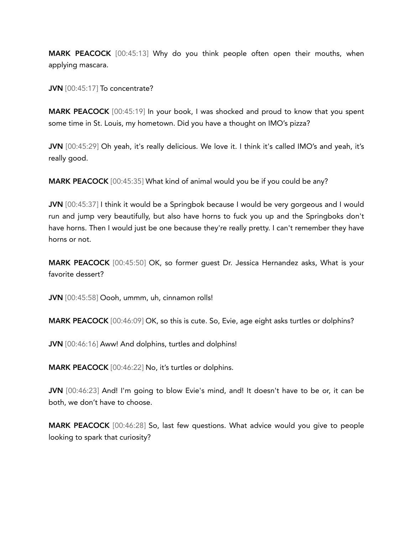MARK PEACOCK [00:45:13] Why do you think people often open their mouths, when applying mascara.

JVN [00:45:17] To concentrate?

MARK PEACOCK [00:45:19] In your book, I was shocked and proud to know that you spent some time in St. Louis, my hometown. Did you have a thought on IMO's pizza?

JVN [00:45:29] Oh yeah, it's really delicious. We love it. I think it's called IMO's and yeah, it's really good.

MARK PEACOCK [00:45:35] What kind of animal would you be if you could be any?

JVN [00:45:37] I think it would be a Springbok because I would be very gorgeous and I would run and jump very beautifully, but also have horns to fuck you up and the Springboks don't have horns. Then I would just be one because they're really pretty. I can't remember they have horns or not.

MARK PEACOCK [00:45:50] OK, so former guest Dr. Jessica Hernandez asks, What is your favorite dessert?

JVN [00:45:58] Oooh, ummm, uh, cinnamon rolls!

MARK PEACOCK [00:46:09] OK, so this is cute. So, Evie, age eight asks turtles or dolphins?

JVN [00:46:16] Aww! And dolphins, turtles and dolphins!

MARK PEACOCK [00:46:22] No, it's turtles or dolphins.

JVN [00:46:23] And! I'm going to blow Evie's mind, and! It doesn't have to be or, it can be both, we don't have to choose.

MARK PEACOCK [00:46:28] So, last few questions. What advice would you give to people looking to spark that curiosity?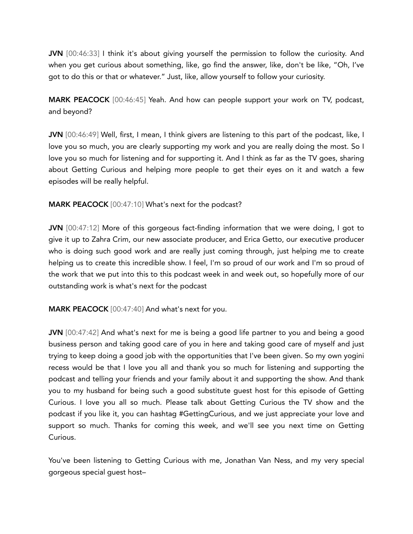JVN [00:46:33] I think it's about giving yourself the permission to follow the curiosity. And when you get curious about something, like, go find the answer, like, don't be like, "Oh, I've got to do this or that or whatever." Just, like, allow yourself to follow your curiosity.

MARK PEACOCK [00:46:45] Yeah. And how can people support your work on TV, podcast, and beyond?

JVN [00:46:49] Well, first, I mean, I think givers are listening to this part of the podcast, like, I love you so much, you are clearly supporting my work and you are really doing the most. So I love you so much for listening and for supporting it. And I think as far as the TV goes, sharing about Getting Curious and helping more people to get their eyes on it and watch a few episodes will be really helpful.

## MARK PEACOCK [00:47:10] What's next for the podcast?

JVN [00:47:12] More of this gorgeous fact-finding information that we were doing, I got to give it up to Zahra Crim, our new associate producer, and Erica Getto, our executive producer who is doing such good work and are really just coming through, just helping me to create helping us to create this incredible show. I feel, I'm so proud of our work and I'm so proud of the work that we put into this to this podcast week in and week out, so hopefully more of our outstanding work is what's next for the podcast

MARK PEACOCK [00:47:40] And what's next for you.

JVN [00:47:42] And what's next for me is being a good life partner to you and being a good business person and taking good care of you in here and taking good care of myself and just trying to keep doing a good job with the opportunities that I've been given. So my own yogini recess would be that I love you all and thank you so much for listening and supporting the podcast and telling your friends and your family about it and supporting the show. And thank you to my husband for being such a good substitute guest host for this episode of Getting Curious. I love you all so much. Please talk about Getting Curious the TV show and the podcast if you like it, you can hashtag #GettingCurious, and we just appreciate your love and support so much. Thanks for coming this week, and we'll see you next time on Getting Curious.

You've been listening to Getting Curious with me, Jonathan Van Ness, and my very special gorgeous special guest host–